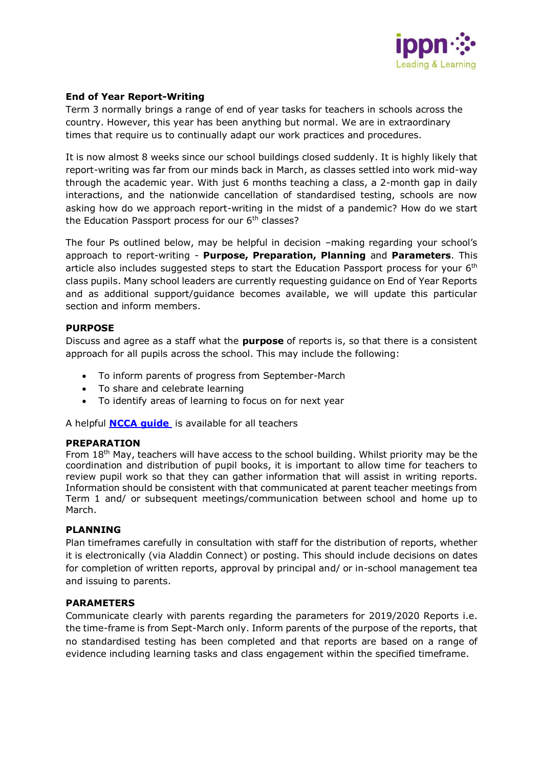

## **End of Year Report-Writing**

Term 3 normally brings a range of end of year tasks for teachers in schools across the country. However, this year has been anything but normal. We are in extraordinary times that require us to continually adapt our work practices and procedures.

It is now almost 8 weeks since our school buildings closed suddenly. It is highly likely that report-writing was far from our minds back in March, as classes settled into work mid-way through the academic year. With just 6 months teaching a class, a 2-month gap in daily interactions, and the nationwide cancellation of standardised testing, schools are now asking how do we approach report-writing in the midst of a pandemic? How do we start the Education Passport process for our 6<sup>th</sup> classes?

The four Ps outlined below, may be helpful in decision –making regarding your school's approach to report-writing - **Purpose, Preparation, Planning** and **Parameters**. This article also includes suggested steps to start the Education Passport process for your  $6<sup>th</sup>$ class pupils. Many school leaders are currently requesting guidance on End of Year Reports and as additional support/guidance becomes available, we will update this particular section and inform members.

# **PURPOSE**

Discuss and agree as a staff what the **purpose** of reports is, so that there is a consistent approach for all pupils across the school. This may include the following:

- To inform parents of progress from September-March
- To share and celebrate learning
- To identify areas of learning to focus on for next year

A helpful **[NCCA guide](https://ncca.ie/media/1374/general_report_card_p_3of3eng.pdf)** is available for all teachers

#### **PREPARATION**

From 18<sup>th</sup> May, teachers will have access to the school building. Whilst priority may be the coordination and distribution of pupil books, it is important to allow time for teachers to review pupil work so that they can gather information that will assist in writing reports. Information should be consistent with that communicated at parent teacher meetings from Term 1 and/ or subsequent meetings/communication between school and home up to March.

#### **PLANNING**

Plan timeframes carefully in consultation with staff for the distribution of reports, whether it is electronically (via Aladdin Connect) or posting. This should include decisions on dates for completion of written reports, approval by principal and/ or in-school management tea and issuing to parents.

### **PARAMETERS**

Communicate clearly with parents regarding the parameters for 2019/2020 Reports i.e. the time-frame is from Sept-March only. Inform parents of the purpose of the reports, that no standardised testing has been completed and that reports are based on a range of evidence including learning tasks and class engagement within the specified timeframe.